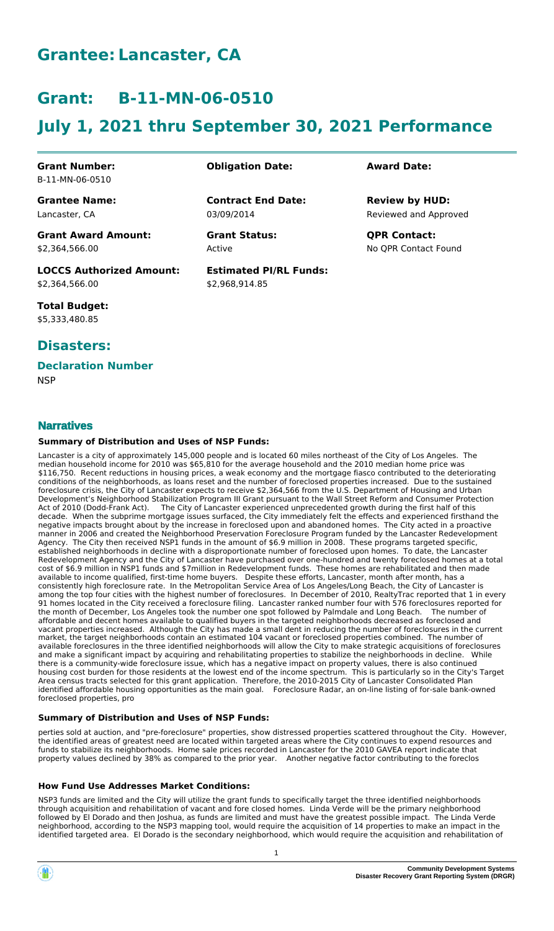# **Grantee: Lancaster, CA**

# **Grant: B-11-MN-06-0510**

# **July 1, 2021 thru September 30, 2021 Performance**

**Contract End Date:**

**Estimated PI/RL Funds:**

\$2,968,914.85

03/09/2014

Active

## **Grant Number:** B-11-MN-06-0510

**Grantee Name:** Lancaster, CA

**Grant Award Amount:** \$2,364,566.00

**LOCCS Authorized Amount:** \$2,364,566.00

**Total Budget:** \$5,333,480.85

# **Disasters:**

## **Declaration Number**

**NSP** 

# **Narratives**

### **Summary of Distribution and Uses of NSP Funds:**

Lancaster is a city of approximately 145,000 people and is located 60 miles northeast of the City of Los Angeles. The median household income for 2010 was \$65,810 for the average household and the 2010 median home price was \$116,750. Recent reductions in housing prices, a weak economy and the mortgage fiasco contributed to the deteriorating conditions of the neighborhoods, as loans reset and the number of foreclosed properties increased. Due to the sustained foreclosure crisis, the City of Lancaster expects to receive \$2,364,566 from the U.S. Department of Housing and Urban Development's Neighborhood Stabilization Program III Grant pursuant to the Wall Street Reform and Consumer Protection<br>Act of 2010 (Dodd-Frank Act). The City of Lancaster experienced unprecedented growth during the first ha The City of Lancaster experienced unprecedented growth during the first half of this decade. When the subprime mortgage issues surfaced, the City immediately felt the effects and experienced firsthand the negative impacts brought about by the increase in foreclosed upon and abandoned homes. The City acted in a proactive manner in 2006 and created the Neighborhood Preservation Foreclosure Program funded by the Lancaster Redevelopment Agency. The City then received NSP1 funds in the amount of \$6.9 million in 2008. These programs targeted specific, established neighborhoods in decline with a disproportionate number of foreclosed upon homes. To date, the Lancaster Redevelopment Agency and the City of Lancaster have purchased over one-hundred and twenty foreclosed homes at a total cost of \$6.9 million in NSP1 funds and \$7million in Redevelopment funds. These homes are rehabilitated and then made available to income qualified, first-time home buyers. Despite these efforts, Lancaster, month after month, has a consistently high foreclosure rate. In the Metropolitan Service Area of Los Angeles/Long Beach, the City of Lancaster is among the top four cities with the highest number of foreclosures. In December of 2010, RealtyTrac reported that 1 in every 91 homes located in the City received a foreclosure filing. Lancaster ranked number four with 576 foreclosures reported for the month of December, Los Angeles took the number one spot followed by Palmdale and Long Beach. The number of affordable and decent homes available to qualified buyers in the targeted neighborhoods decreased as foreclosed and vacant properties increased. Although the City has made a small dent in reducing the number of foreclosures in the current market, the target neighborhoods contain an estimated 104 vacant or foreclosed properties combined. The number of available foreclosures in the three identified neighborhoods will allow the City to make strategic acquisitions of foreclosures and make a significant impact by acquiring and rehabilitating properties to stabilize the neighborhoods in decline. While there is a community-wide foreclosure issue, which has a negative impact on property values, there is also continued housing cost burden for those residents at the lowest end of the income spectrum. This is particularly so in the City's Target Area census tracts selected for this grant application. Therefore, the 2010-2015 City of Lancaster Consolidated Plan identified affordable housing opportunities as the main goal. Foreclosure Radar, an on-line listing of for-sale bank-owned foreclosed properties, pro

### **Summary of Distribution and Uses of NSP Funds:**

perties sold at auction, and "pre-foreclosure" properties, show distressed properties scattered throughout the City. However, the identified areas of greatest need are located within targeted areas where the City continues to expend resources and funds to stabilize its neighborhoods. Home sale prices recorded in Lancaster for the 2010 GAVEA report indicate that property values declined by 38% as compared to the prior year. Another negative factor contributing to the foreclos

### **How Fund Use Addresses Market Conditions:**

NSP3 funds are limited and the City will utilize the grant funds to specifically target the three identified neighborhoods through acquisition and rehabilitation of vacant and fore closed homes. Linda Verde will be the primary neighborhood followed by El Dorado and then Joshua, as funds are limited and must have the greatest possible impact. The Linda Verde neighborhood, according to the NSP3 mapping tool, would require the acquisition of 14 properties to make an impact in the identified targeted area. El Dorado is the secondary neighborhood, which would require the acquisition and rehabilitation of

## **Obligation Date: Award Date:**

Reviewed and Approved **Review by HUD:**

**Grant Status: QPR Contact:** No QPR Contact Found

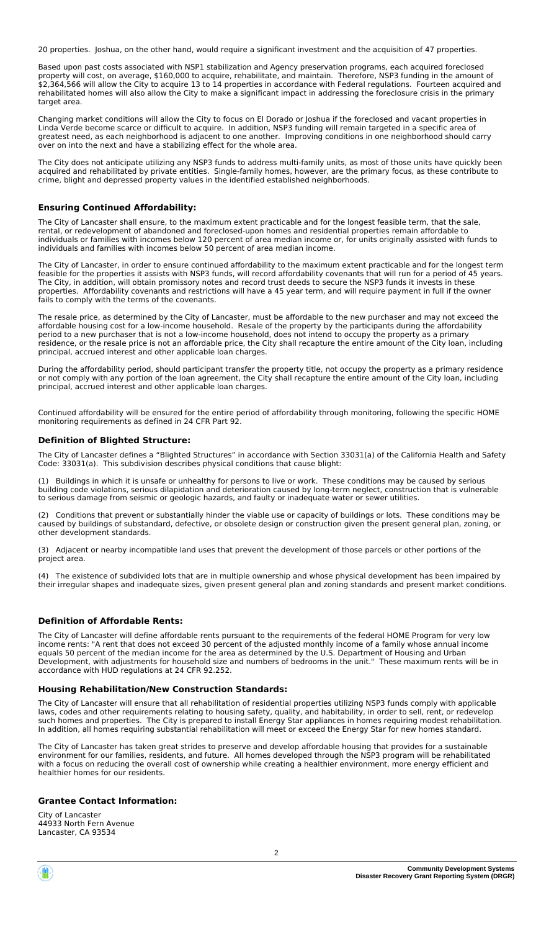20 properties. Joshua, on the other hand, would require a significant investment and the acquisition of 47 properties.

Based upon past costs associated with NSP1 stabilization and Agency preservation programs, each acquired foreclosed property will cost, on average, \$160,000 to acquire, rehabilitate, and maintain. Therefore, NSP3 funding in the amount of \$2,364,566 will allow the City to acquire 13 to 14 properties in accordance with Federal regulations. Fourteen acquired and rehabilitated homes will also allow the City to make a significant impact in addressing the foreclosure crisis in the primary target area.

Changing market conditions will allow the City to focus on El Dorado or Joshua if the foreclosed and vacant properties in Linda Verde become scarce or difficult to acquire. In addition, NSP3 funding will remain targeted in a specific area of greatest need, as each neighborhood is adjacent to one another. Improving conditions in one neighborhood should carry over on into the next and have a stabilizing effect for the whole area.

The City does not anticipate utilizing any NSP3 funds to address multi-family units, as most of those units have quickly been acquired and rehabilitated by private entities. Single-family homes, however, are the primary focus, as these contribute to crime, blight and depressed property values in the identified established neighborhoods.

#### **Ensuring Continued Affordability:**

The City of Lancaster shall ensure, to the maximum extent practicable and for the longest feasible term, that the sale, rental, or redevelopment of abandoned and foreclosed-upon homes and residential properties remain affordable to individuals or families with incomes below 120 percent of area median income or, for units originally assisted with funds to individuals and families with incomes below 50 percent of area median income.

The City of Lancaster, in order to ensure continued affordability to the maximum extent practicable and for the longest term feasible for the properties it assists with NSP3 funds, will record affordability covenants that will run for a period of 45 years. The City, in addition, will obtain promissory notes and record trust deeds to secure the NSP3 funds it invests in these properties. Affordability covenants and restrictions will have a 45 year term, and will require payment in full if the owner fails to comply with the terms of the covenants.

The resale price, as determined by the City of Lancaster, must be affordable to the new purchaser and may not exceed the affordable housing cost for a low-income household. Resale of the property by the participants during the affordability period to a new purchaser that is not a low-income household, does not intend to occupy the property as a primary residence, or the resale price is not an affordable price, the City shall recapture the entire amount of the City loan, including principal, accrued interest and other applicable loan charges.

During the affordability period, should participant transfer the property title, not occupy the property as a primary residence or not comply with any portion of the loan agreement, the City shall recapture the entire amount of the City loan, including principal, accrued interest and other applicable loan charges.

Continued affordability will be ensured for the entire period of affordability through monitoring, following the specific HOME monitoring requirements as defined in 24 CFR Part 92.

#### **Definition of Blighted Structure:**

The City of Lancaster defines a "Blighted Structures" in accordance with Section 33031(a) of the California Health and Safety Code: 33031(a). This subdivision describes physical conditions that cause blight:

Buildings in which it is unsafe or unhealthy for persons to live or work. These conditions may be caused by serious building code violations, serious dilapidation and deterioration caused by long-term neglect, construction that is vulnerable to serious damage from seismic or geologic hazards, and faulty or inadequate water or sewer utilities.

(2) Conditions that prevent or substantially hinder the viable use or capacity of buildings or lots. These conditions may be caused by buildings of substandard, defective, or obsolete design or construction given the present general plan, zoning, or other development standards.

(3) Adjacent or nearby incompatible land uses that prevent the development of those parcels or other portions of the project area.

(4) The existence of subdivided lots that are in multiple ownership and whose physical development has been impaired by their irregular shapes and inadequate sizes, given present general plan and zoning standards and present market conditions.

### **Definition of Affordable Rents:**

The City of Lancaster will define affordable rents pursuant to the requirements of the federal HOME Program for very low income rents: "A rent that does not exceed 30 percent of the adjusted monthly income of a family whose annual income equals 50 percent of the median income for the area as determined by the U.S. Department of Housing and Urban Development, with adjustments for household size and numbers of bedrooms in the unit." These maximum rents will be in accordance with HUD regulations at 24 CFR 92.252.

#### **Housing Rehabilitation/New Construction Standards:**

The City of Lancaster will ensure that all rehabilitation of residential properties utilizing NSP3 funds comply with applicable laws, codes and other requirements relating to housing safety, quality, and habitability, in order to sell, rent, or redevelop such homes and properties. The City is prepared to install Energy Star appliances in homes requiring modest rehabilitation. In addition, all homes requiring substantial rehabilitation will meet or exceed the Energy Star for new homes standard.

The City of Lancaster has taken great strides to preserve and develop affordable housing that provides for a sustainable environment for our families, residents, and future. All homes developed through the NSP3 program will be rehabilitated with a focus on reducing the overall cost of ownership while creating a healthier environment, more energy efficient and healthier homes for our residents.

#### **Grantee Contact Information:**

City of Lancaster 44933 North Fern Avenue Lancaster, CA 93534

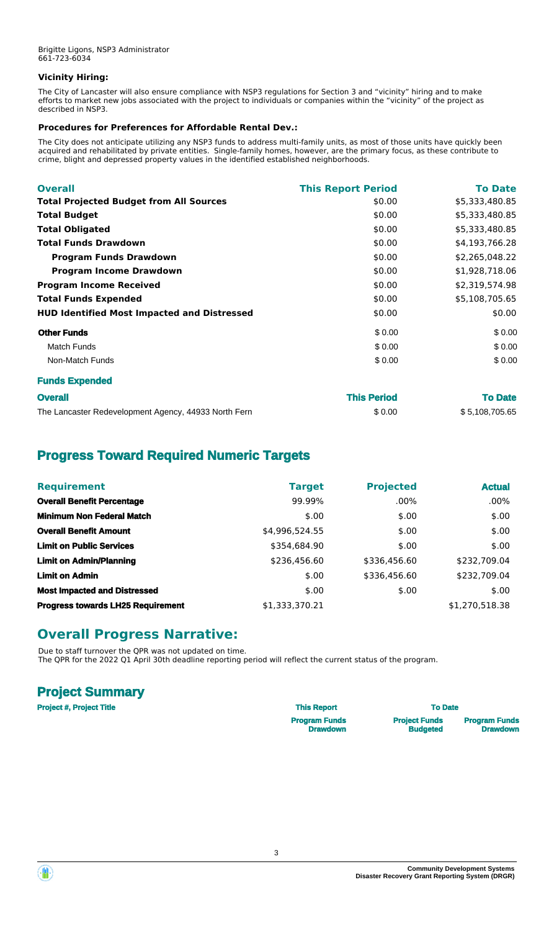## **Vicinity Hiring:**

The City of Lancaster will also ensure compliance with NSP3 regulations for Section 3 and "vicinity" hiring and to make efforts to market new jobs associated with the project to individuals or companies within the "vicinity" of the project as described in NSP3.

## **Procedures for Preferences for Affordable Rental Dev.:**

The City does not anticipate utilizing any NSP3 funds to address multi-family units, as most of those units have quickly been acquired and rehabilitated by private entities. Single-family homes, however, are the primary focus, as these contribute to crime, blight and depressed property values in the identified established neighborhoods.

| <b>Overall</b>                                     | <b>This Report Period</b> | <b>To Date</b> |
|----------------------------------------------------|---------------------------|----------------|
| <b>Total Projected Budget from All Sources</b>     | \$0.00                    | \$5,333,480.85 |
| <b>Total Budget</b>                                | \$0.00                    | \$5,333,480.85 |
| <b>Total Obligated</b>                             | \$0.00                    | \$5,333,480.85 |
| <b>Total Funds Drawdown</b>                        | \$0.00                    | \$4,193,766.28 |
| <b>Program Funds Drawdown</b>                      | \$0.00                    | \$2,265,048.22 |
| <b>Program Income Drawdown</b>                     | \$0.00                    | \$1,928,718.06 |
| <b>Program Income Received</b>                     | \$0.00                    | \$2,319,574.98 |
| <b>Total Funds Expended</b>                        | \$0.00                    | \$5,108,705.65 |
| <b>HUD Identified Most Impacted and Distressed</b> | \$0.00                    | \$0.00         |
| <b>Other Funds</b>                                 | \$0.00                    | \$0.00         |
| <b>Match Funds</b>                                 | \$0.00                    | \$0.00         |
| Non-Match Funds                                    | \$0.00                    | \$0.00         |
| <b>Funds Expended</b>                              |                           |                |

| <b>Overall</b>                                       | <b>This Period</b> | <b>To Date</b> |
|------------------------------------------------------|--------------------|----------------|
| The Lancaster Redevelopment Agency, 44933 North Fern | \$0.00             | \$5,108,705.65 |

# **Progress Toward Required Numeric Targets**

| <b>Requirement</b>                       | <b>Target</b>  | <b>Projected</b> | <b>Actual</b>  |
|------------------------------------------|----------------|------------------|----------------|
| <b>Overall Benefit Percentage</b>        | 99.99%         | $.00\%$          | $.00\%$        |
| <b>Minimum Non Federal Match</b>         | \$.00          | \$.00            | \$.00          |
| <b>Overall Benefit Amount</b>            | \$4,996,524.55 | \$.00            | \$.00          |
| <b>Limit on Public Services</b>          | \$354.684.90   | \$.00            | \$.00          |
| <b>Limit on Admin/Planning</b>           | \$236,456.60   | \$336,456.60     | \$232,709.04   |
| <b>Limit on Admin</b>                    | \$.00          | \$336,456.60     | \$232,709.04   |
| <b>Most Impacted and Distressed</b>      | \$.00          | \$.00            | \$.00          |
| <b>Progress towards LH25 Requirement</b> | \$1,333,370.21 |                  | \$1,270,518.38 |

# **Overall Progress Narrative:**

Due to staff turnover the QPR was not updated on time. The QPR for the 2022 Q1 April 30th deadline reporting period will reflect the current status of the program.

# **Project Summary**

**Project #, Project Title This Report To Date**

**Program Funds Drawdown** **Project Funds Budgeted**

**Program Funds Drawdown**